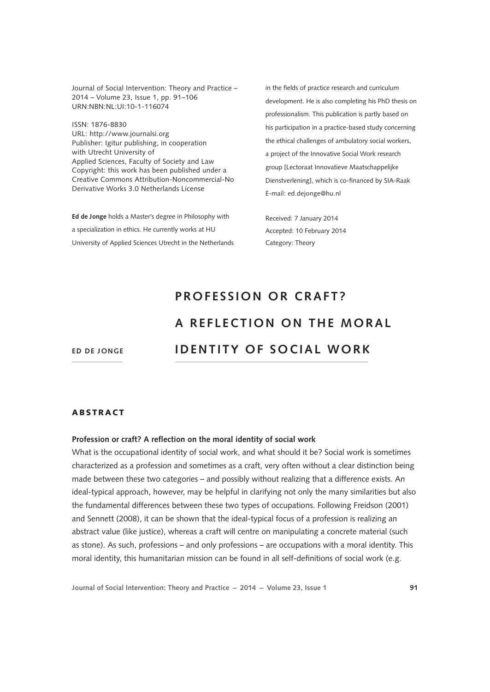Journal of Social Intervention: Theory and Practice – 2014 – Volume 23, Issue 1, pp. 91–106 URN:NBN:NL:UI:10-1-116074

ISSN: 1876-8830 [URL: http://www.journalsi.org](http://www.journalsi.org) Publisher: Igitur publishing, in cooperation with Utrecht University of Applied Sciences, Faculty of Society and Law Copyright: this work has been published under a Creative Commons Attribution-Noncommercial-No Derivative Works 3.0 Netherlands License

**Ed de Jonge** holds a Master's degree in Philosophy with a specialization in ethics. He currently works at HU University of Applied Sciences Utrecht in the Netherlands in the fields of practice research and curriculum development. He is also completing his PhD thesis on professionalism. This publication is partly based on his participation in a practice-based study concerning the ethical challenges of ambulatory social workers, a project of the Innovative Social Work research group [Lectoraat Innovatieve Maatschappelijke Dienstverlening], which is co-financed by SIA-Raak E-mail: [ed.dejonge@hu.nl](mailto:ed.dejonge@hu.nl)

Received: 7 January 2014 Accepted: 10 February 2014 Category: Theory

# **PROFESSION OR CRAFT? A REFLECTION ON THE MORAL identity of s o cial work**

**Ed de Jonge**

#### ABSTRACT

#### **Profession or craft? A reflection on the moral identity of social work**

What is the occupational identity of social work, and what should it be? Social work is sometimes characterized as a profession and sometimes as a craft, very often without a clear distinction being made between these two categories – and possibly without realizing that a difference exists. An ideal-typical approach, however, may be helpful in clarifying not only the many similarities but also the fundamental differences between these two types of occupations. Following Freidson (2001) and Sennett (2008), it can be shown that the ideal-typical focus of a profession is realizing an abstract value (like justice), whereas a craft will centre on manipulating a concrete material (such as stone). As such, professions – and only professions – are occupations with a moral identity. This moral identity, this humanitarian mission can be found in all self-definitions of social work (e.g.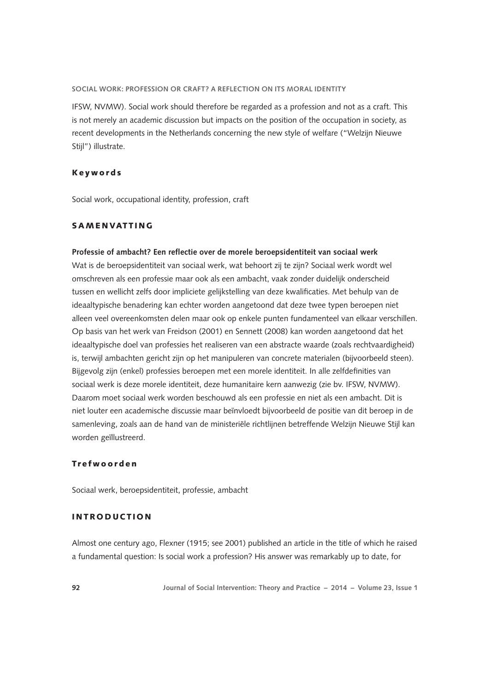IFSW, NVMW). Social work should therefore be regarded as a profession and not as a craft. This is not merely an academic discussion but impacts on the position of the occupation in society, as recent developments in the Netherlands concerning the new style of welfare ("Welzijn Nieuwe Stijl") illustrate.

## Keywords

Social work, occupational identity, profession, craft

# SAMENVATTING

#### **Professie of ambacht? Een reflectie over de morele beroepsidentiteit van sociaal werk**

Wat is de beroepsidentiteit van sociaal werk, wat behoort zij te zijn? Sociaal werk wordt wel omschreven als een professie maar ook als een ambacht, vaak zonder duidelijk onderscheid tussen en wellicht zelfs door impliciete gelijkstelling van deze kwalificaties. Met behulp van de ideaaltypische benadering kan echter worden aangetoond dat deze twee typen beroepen niet alleen veel overeenkomsten delen maar ook op enkele punten fundamenteel van elkaar verschillen. Op basis van het werk van Freidson (2001) en Sennett (2008) kan worden aangetoond dat het ideaaltypische doel van professies het realiseren van een abstracte waarde (zoals rechtvaardigheid) is, terwijl ambachten gericht zijn op het manipuleren van concrete materialen (bijvoorbeeld steen). Bijgevolg zijn (enkel) professies beroepen met een morele identiteit. In alle zelfdefinities van sociaal werk is deze morele identiteit, deze humanitaire kern aanwezig (zie bv. IFSW, NVMW). Daarom moet sociaal werk worden beschouwd als een professie en niet als een ambacht. Dit is niet louter een academische discussie maar beïnvloedt bijvoorbeeld de positie van dit beroep in de samenleving, zoals aan de hand van de ministeriële richtlijnen betreffende Welzijn Nieuwe Stijl kan worden geïllustreerd.

#### Trefwoorden

Sociaal werk, beroepsidentiteit, professie, ambacht

## INTRODUCTION

Almost one century ago, Flexner (1915; see 2001) published an article in the title of which he raised a fundamental question: Is social work a profession? His answer was remarkably up to date, for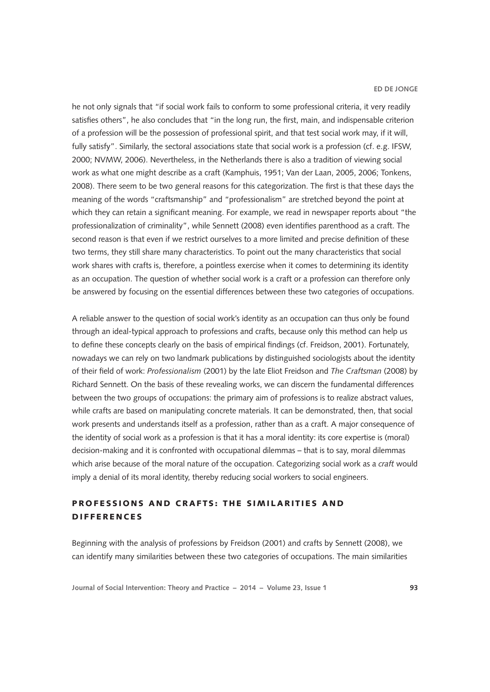he not only signals that "if social work fails to conform to some professional criteria, it very readily satisfies others", he also concludes that "in the long run, the first, main, and indispensable criterion of a profession will be the possession of professional spirit, and that test social work may, if it will, fully satisfy". Similarly, the sectoral associations state that social work is a profession (cf. e.g. IFSW, 2000; NVMW, 2006). Nevertheless, in the Netherlands there is also a tradition of viewing social work as what one might describe as a craft (Kamphuis, 1951; Van der Laan, 2005, 2006; Tonkens, 2008). There seem to be two general reasons for this categorization. The first is that these days the meaning of the words "craftsmanship" and "professionalism" are stretched beyond the point at which they can retain a significant meaning. For example, we read in newspaper reports about "the professionalization of criminality", while Sennett (2008) even identifies parenthood as a craft. The second reason is that even if we restrict ourselves to a more limited and precise definition of these two terms, they still share many characteristics. To point out the many characteristics that social work shares with crafts is, therefore, a pointless exercise when it comes to determining its identity as an occupation. The question of whether social work is a craft or a profession can therefore only be answered by focusing on the essential differences between these two categories of occupations.

A reliable answer to the question of social work's identity as an occupation can thus only be found through an ideal-typical approach to professions and crafts, because only this method can help us to define these concepts clearly on the basis of empirical findings (cf. Freidson, 2001). Fortunately, nowadays we can rely on two landmark publications by distinguished sociologists about the identity of their field of work: *Professionalism* (2001) by the late Eliot Freidson and *The Craftsman* (2008) by Richard Sennett. On the basis of these revealing works, we can discern the fundamental differences between the two groups of occupations: the primary aim of professions is to realize abstract values, while crafts are based on manipulating concrete materials. It can be demonstrated, then, that social work presents and understands itself as a profession, rather than as a craft. A major consequence of the identity of social work as a profession is that it has a moral identity: its core expertise is (moral) decision-making and it is confronted with occupational dilemmas – that is to say, moral dilemmas which arise because of the moral nature of the occupation. Categorizing social work as a *craft* would imply a denial of its moral identity, thereby reducing social workers to social engineers.

# PROFESSIONS AND CRAFTS: THE SIMILARITIES AND DIFFERENCES

Beginning with the analysis of professions by Freidson (2001) and crafts by Sennett (2008), we can identify many similarities between these two categories of occupations. The main similarities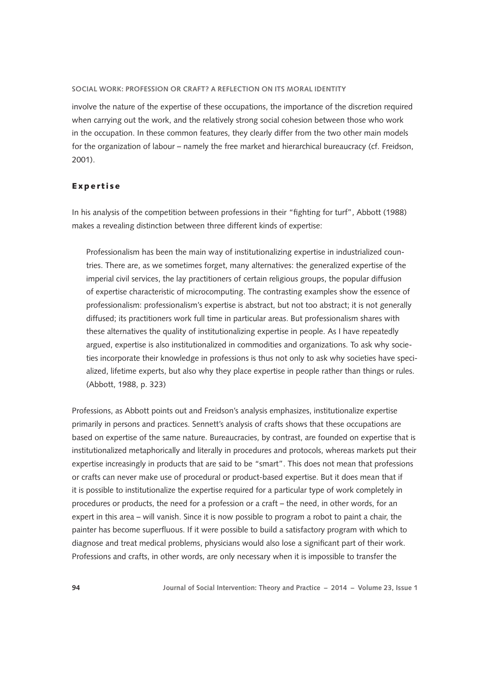involve the nature of the expertise of these occupations, the importance of the discretion required when carrying out the work, and the relatively strong social cohesion between those who work in the occupation. In these common features, they clearly differ from the two other main models for the organization of labour – namely the free market and hierarchical bureaucracy (cf. Freidson, 2001).

## Expertise

In his analysis of the competition between professions in their "fighting for turf", Abbott (1988) makes a revealing distinction between three different kinds of expertise:

Professionalism has been the main way of institutionalizing expertise in industrialized countries. There are, as we sometimes forget, many alternatives: the generalized expertise of the imperial civil services, the lay practitioners of certain religious groups, the popular diffusion of expertise characteristic of microcomputing. The contrasting examples show the essence of professionalism: professionalism's expertise is abstract, but not too abstract; it is not generally diffused; its practitioners work full time in particular areas. But professionalism shares with these alternatives the quality of institutionalizing expertise in people. As I have repeatedly argued, expertise is also institutionalized in commodities and organizations. To ask why societies incorporate their knowledge in professions is thus not only to ask why societies have specialized, lifetime experts, but also why they place expertise in people rather than things or rules. (Abbott, 1988, p. 323)

Professions, as Abbott points out and Freidson's analysis emphasizes, institutionalize expertise primarily in persons and practices. Sennett's analysis of crafts shows that these occupations are based on expertise of the same nature. Bureaucracies, by contrast, are founded on expertise that is institutionalized metaphorically and literally in procedures and protocols, whereas markets put their expertise increasingly in products that are said to be "smart". This does not mean that professions or crafts can never make use of procedural or product-based expertise. But it does mean that if it is possible to institutionalize the expertise required for a particular type of work completely in procedures or products, the need for a profession or a craft – the need, in other words, for an expert in this area – will vanish. Since it is now possible to program a robot to paint a chair, the painter has become superfluous. If it were possible to build a satisfactory program with which to diagnose and treat medical problems, physicians would also lose a significant part of their work. Professions and crafts, in other words, are only necessary when it is impossible to transfer the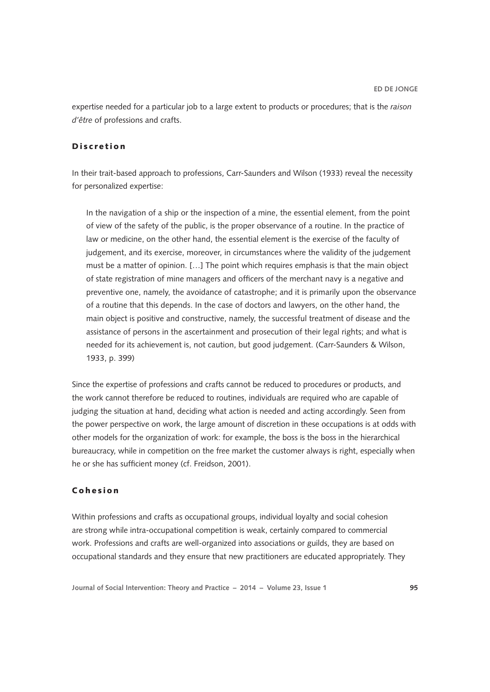expertise needed for a particular job to a large extent to products or procedures; that is the *raison d'être* of professions and crafts.

# Discretion

In their trait-based approach to professions, Carr-Saunders and Wilson (1933) reveal the necessity for personalized expertise:

In the navigation of a ship or the inspection of a mine, the essential element, from the point of view of the safety of the public, is the proper observance of a routine. In the practice of law or medicine, on the other hand, the essential element is the exercise of the faculty of judgement, and its exercise, moreover, in circumstances where the validity of the judgement must be a matter of opinion. […] The point which requires emphasis is that the main object of state registration of mine managers and officers of the merchant navy is a negative and preventive one, namely, the avoidance of catastrophe; and it is primarily upon the observance of a routine that this depends. In the case of doctors and lawyers, on the other hand, the main object is positive and constructive, namely, the successful treatment of disease and the assistance of persons in the ascertainment and prosecution of their legal rights; and what is needed for its achievement is, not caution, but good judgement. (Carr-Saunders & Wilson, 1933, p. 399)

Since the expertise of professions and crafts cannot be reduced to procedures or products, and the work cannot therefore be reduced to routines, individuals are required who are capable of judging the situation at hand, deciding what action is needed and acting accordingly. Seen from the power perspective on work, the large amount of discretion in these occupations is at odds with other models for the organization of work: for example, the boss is the boss in the hierarchical bureaucracy, while in competition on the free market the customer always is right, especially when he or she has sufficient money (cf. Freidson, 2001).

# Cohesion

Within professions and crafts as occupational groups, individual loyalty and social cohesion are strong while intra-occupational competition is weak, certainly compared to commercial work. Professions and crafts are well-organized into associations or guilds, they are based on occupational standards and they ensure that new practitioners are educated appropriately. They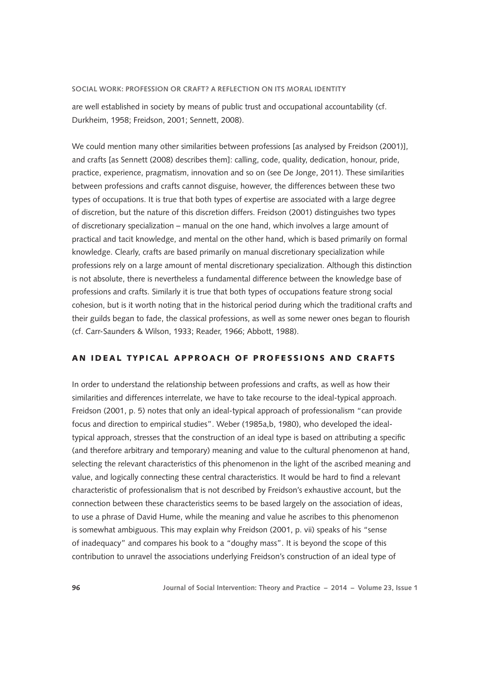are well established in society by means of public trust and occupational accountability (cf. Durkheim, 1958; Freidson, 2001; Sennett, 2008).

We could mention many other similarities between professions [as analysed by Freidson (2001)], and crafts [as Sennett (2008) describes them]: calling, code, quality, dedication, honour, pride, practice, experience, pragmatism, innovation and so on (see De Jonge, 2011). These similarities between professions and crafts cannot disguise, however, the differences between these two types of occupations. It is true that both types of expertise are associated with a large degree of discretion, but the nature of this discretion differs. Freidson (2001) distinguishes two types of discretionary specialization – manual on the one hand, which involves a large amount of practical and tacit knowledge, and mental on the other hand, which is based primarily on formal knowledge. Clearly, crafts are based primarily on manual discretionary specialization while professions rely on a large amount of mental discretionary specialization. Although this distinction is not absolute, there is nevertheless a fundamental difference between the knowledge base of professions and crafts. Similarly it is true that both types of occupations feature strong social cohesion, but is it worth noting that in the historical period during which the traditional crafts and their guilds began to fade, the classical professions, as well as some newer ones began to flourish (cf. Carr-Saunders & Wilson, 1933; Reader, 1966; Abbott, 1988).

# AN IDEAL TYPICAL APPROACH OF PROFESSIONS AND CRAFTS

In order to understand the relationship between professions and crafts, as well as how their similarities and differences interrelate, we have to take recourse to the ideal-typical approach. Freidson (2001, p. 5) notes that only an ideal-typical approach of professionalism "can provide focus and direction to empirical studies". Weber (1985a,b, 1980), who developed the idealtypical approach, stresses that the construction of an ideal type is based on attributing a specific (and therefore arbitrary and temporary) meaning and value to the cultural phenomenon at hand, selecting the relevant characteristics of this phenomenon in the light of the ascribed meaning and value, and logically connecting these central characteristics. It would be hard to find a relevant characteristic of professionalism that is not described by Freidson's exhaustive account, but the connection between these characteristics seems to be based largely on the association of ideas, to use a phrase of David Hume, while the meaning and value he ascribes to this phenomenon is somewhat ambiguous. This may explain why Freidson (2001, p. vii) speaks of his "sense of inadequacy" and compares his book to a "doughy mass". It is beyond the scope of this contribution to unravel the associations underlying Freidson's construction of an ideal type of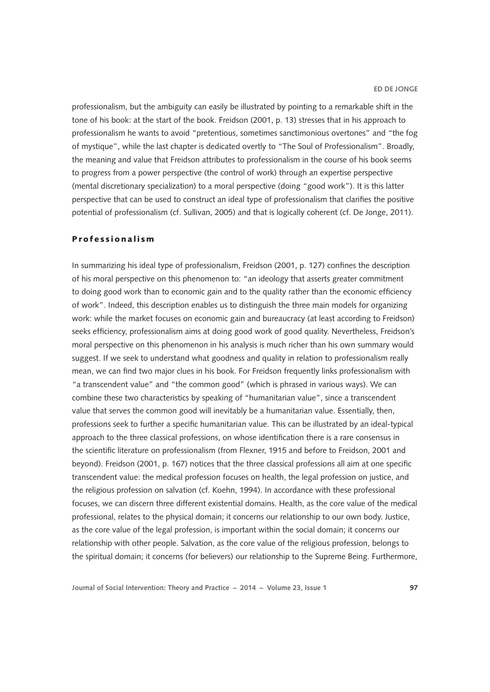professionalism, but the ambiguity can easily be illustrated by pointing to a remarkable shift in the tone of his book: at the start of the book. Freidson (2001, p. 13) stresses that in his approach to professionalism he wants to avoid "pretentious, sometimes sanctimonious overtones" and "the fog of mystique", while the last chapter is dedicated overtly to "The Soul of Professionalism". Broadly, the meaning and value that Freidson attributes to professionalism in the course of his book seems to progress from a power perspective (the control of work) through an expertise perspective (mental discretionary specialization) to a moral perspective (doing "good work"). It is this latter perspective that can be used to construct an ideal type of professionalism that clarifies the positive potential of professionalism (cf. Sullivan, 2005) and that is logically coherent (cf. De Jonge, 2011).

## Professionalism

In summarizing his ideal type of professionalism, Freidson (2001, p. 127) confines the description of his moral perspective on this phenomenon to: "an ideology that asserts greater commitment to doing good work than to economic gain and to the quality rather than the economic efficiency of work". Indeed, this description enables us to distinguish the three main models for organizing work: while the market focuses on economic gain and bureaucracy (at least according to Freidson) seeks efficiency, professionalism aims at doing good work of good quality. Nevertheless, Freidson's moral perspective on this phenomenon in his analysis is much richer than his own summary would suggest. If we seek to understand what goodness and quality in relation to professionalism really mean, we can find two major clues in his book. For Freidson frequently links professionalism with "a transcendent value" and "the common good" (which is phrased in various ways). We can combine these two characteristics by speaking of "humanitarian value", since a transcendent value that serves the common good will inevitably be a humanitarian value. Essentially, then, professions seek to further a specific humanitarian value. This can be illustrated by an ideal-typical approach to the three classical professions, on whose identification there is a rare consensus in the scientific literature on professionalism (from Flexner, 1915 and before to Freidson, 2001 and beyond). Freidson (2001, p. 167) notices that the three classical professions all aim at one specific transcendent value: the medical profession focuses on health, the legal profession on justice, and the religious profession on salvation (cf. Koehn, 1994). In accordance with these professional focuses, we can discern three different existential domains. Health, as the core value of the medical professional, relates to the physical domain; it concerns our relationship to our own body. Justice, as the core value of the legal profession, is important within the social domain; it concerns our relationship with other people. Salvation, as the core value of the religious profession, belongs to the spiritual domain; it concerns (for believers) our relationship to the Supreme Being. Furthermore,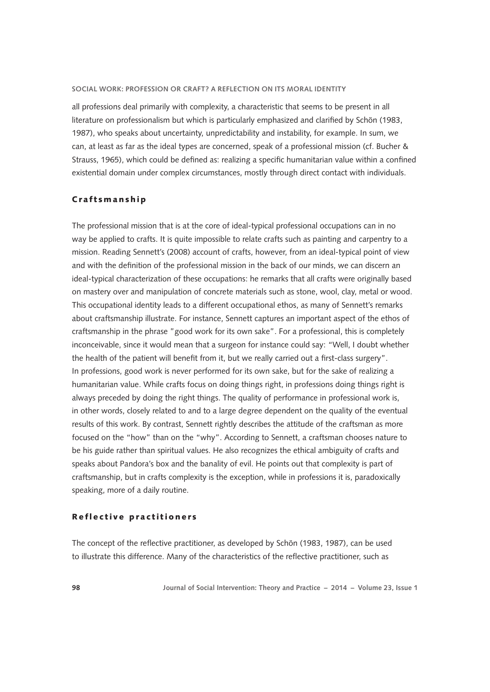all professions deal primarily with complexity, a characteristic that seems to be present in all literature on professionalism but which is particularly emphasized and clarified by Schön (1983, 1987), who speaks about uncertainty, unpredictability and instability, for example. In sum, we can, at least as far as the ideal types are concerned, speak of a professional mission (cf. Bucher & Strauss, 1965), which could be defined as: realizing a specific humanitarian value within a confined existential domain under complex circumstances, mostly through direct contact with individuals.

### Craftsmanship

The professional mission that is at the core of ideal-typical professional occupations can in no way be applied to crafts. It is quite impossible to relate crafts such as painting and carpentry to a mission. Reading Sennett's (2008) account of crafts, however, from an ideal-typical point of view and with the definition of the professional mission in the back of our minds, we can discern an ideal-typical characterization of these occupations: he remarks that all crafts were originally based on mastery over and manipulation of concrete materials such as stone, wool, clay, metal or wood. This occupational identity leads to a different occupational ethos, as many of Sennett's remarks about craftsmanship illustrate. For instance, Sennett captures an important aspect of the ethos of craftsmanship in the phrase "good work for its own sake". For a professional, this is completely inconceivable, since it would mean that a surgeon for instance could say: "Well, I doubt whether the health of the patient will benefit from it, but we really carried out a first-class surgery". In professions, good work is never performed for its own sake, but for the sake of realizing a humanitarian value. While crafts focus on doing things right, in professions doing things right is always preceded by doing the right things. The quality of performance in professional work is, in other words, closely related to and to a large degree dependent on the quality of the eventual results of this work. By contrast, Sennett rightly describes the attitude of the craftsman as more focused on the "how" than on the "why". According to Sennett, a craftsman chooses nature to be his guide rather than spiritual values. He also recognizes the ethical ambiguity of crafts and speaks about Pandora's box and the banality of evil. He points out that complexity is part of craftsmanship, but in crafts complexity is the exception, while in professions it is, paradoxically speaking, more of a daily routine.

#### Reflective practitioners

The concept of the reflective practitioner, as developed by Schön (1983, 1987), can be used to illustrate this difference. Many of the characteristics of the reflective practitioner, such as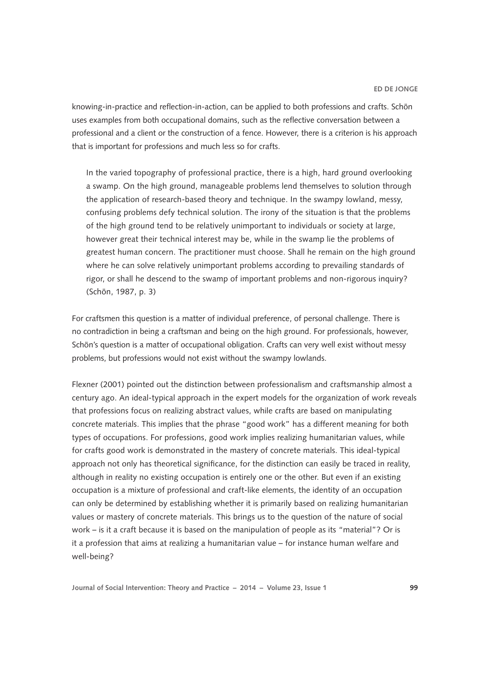knowing-in-practice and reflection-in-action, can be applied to both professions and crafts. Schön uses examples from both occupational domains, such as the reflective conversation between a professional and a client or the construction of a fence. However, there is a criterion is his approach that is important for professions and much less so for crafts.

In the varied topography of professional practice, there is a high, hard ground overlooking a swamp. On the high ground, manageable problems lend themselves to solution through the application of research-based theory and technique. In the swampy lowland, messy, confusing problems defy technical solution. The irony of the situation is that the problems of the high ground tend to be relatively unimportant to individuals or society at large, however great their technical interest may be, while in the swamp lie the problems of greatest human concern. The practitioner must choose. Shall he remain on the high ground where he can solve relatively unimportant problems according to prevailing standards of rigor, or shall he descend to the swamp of important problems and non-rigorous inquiry? (Schön, 1987, p. 3)

For craftsmen this question is a matter of individual preference, of personal challenge. There is no contradiction in being a craftsman and being on the high ground. For professionals, however, Schön's question is a matter of occupational obligation. Crafts can very well exist without messy problems, but professions would not exist without the swampy lowlands.

Flexner (2001) pointed out the distinction between professionalism and craftsmanship almost a century ago. An ideal-typical approach in the expert models for the organization of work reveals that professions focus on realizing abstract values, while crafts are based on manipulating concrete materials. This implies that the phrase "good work" has a different meaning for both types of occupations. For professions, good work implies realizing humanitarian values, while for crafts good work is demonstrated in the mastery of concrete materials. This ideal-typical approach not only has theoretical significance, for the distinction can easily be traced in reality, although in reality no existing occupation is entirely one or the other. But even if an existing occupation is a mixture of professional and craft-like elements, the identity of an occupation can only be determined by establishing whether it is primarily based on realizing humanitarian values or mastery of concrete materials. This brings us to the question of the nature of social work – is it a craft because it is based on the manipulation of people as its "material"? Or is it a profession that aims at realizing a humanitarian value – for instance human welfare and well-being?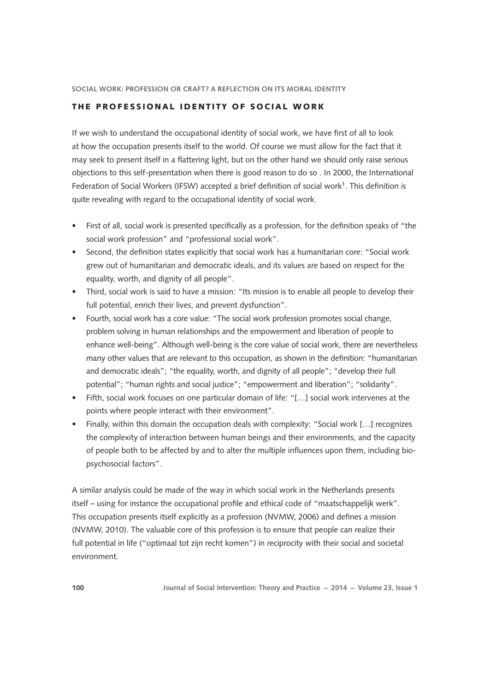# THE PROFESSIONAL IDENTITY OF SOCIAL WORK

If we wish to understand the occupational identity of social work, we have first of all to look at how the occupation presents itself to the world. Of course we must allow for the fact that it may seek to present itself in a flattering light, but on the other hand we should only raise serious objections to this self-presentation when there is good reason to do so . In 2000, the International Federation of Social Workers (IFSW) accepted a brief definition of social work<sup>1</sup>. This definition is quite revealing with regard to the occupational identity of social work.

- • First of all, social work is presented specifically as a profession, for the definition speaks of "the social work profession" and "professional social work".
- • Second, the definition states explicitly that social work has a humanitarian core: "Social work grew out of humanitarian and democratic ideals, and its values are based on respect for the equality, worth, and dignity of all people".
- Third, social work is said to have a mission: "Its mission is to enable all people to develop their full potential, enrich their lives, and prevent dysfunction".
- Fourth, social work has a core value: "The social work profession promotes social change, problem solving in human relationships and the empowerment and liberation of people to enhance well-being". Although well-being is the core value of social work, there are nevertheless many other values that are relevant to this occupation, as shown in the definition: "humanitarian and democratic ideals"; "the equality, worth, and dignity of all people"; "develop their full potential"; "human rights and social justice"; "empowerment and liberation"; "solidarity".
- • Fifth, social work focuses on one particular domain of life: "[…] social work intervenes at the points where people interact with their environment".
- Finally, within this domain the occupation deals with complexity: "Social work [...] recognizes the complexity of interaction between human beings and their environments, and the capacity of people both to be affected by and to alter the multiple influences upon them, including biopsychosocial factors".

A similar analysis could be made of the way in which social work in the Netherlands presents itself – using for instance the occupational profile and ethical code of "maatschappelijk werk". This occupation presents itself explicitly as a profession (NVMW, 2006) and defines a mission (NVMW, 2010). The valuable core of this profession is to ensure that people can realize their full potential in life ("optimaal tot zijn recht komen") in reciprocity with their social and societal environment.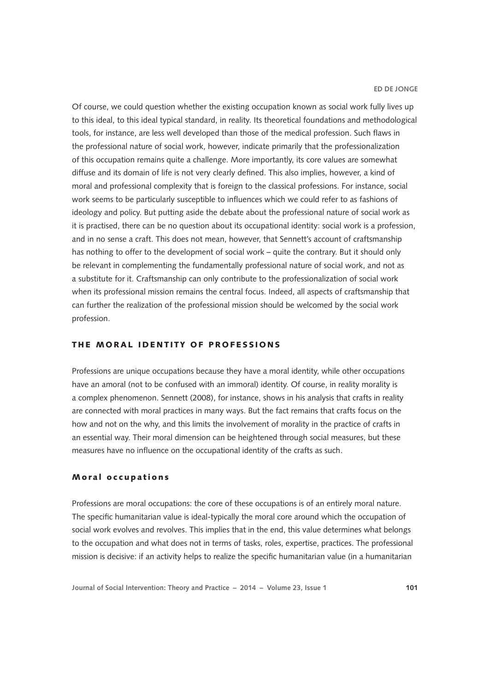Of course, we could question whether the existing occupation known as social work fully lives up to this ideal, to this ideal typical standard, in reality. Its theoretical foundations and methodological tools, for instance, are less well developed than those of the medical profession. Such flaws in the professional nature of social work, however, indicate primarily that the professionalization of this occupation remains quite a challenge. More importantly, its core values are somewhat diffuse and its domain of life is not very clearly defined. This also implies, however, a kind of moral and professional complexity that is foreign to the classical professions. For instance, social work seems to be particularly susceptible to influences which we could refer to as fashions of ideology and policy. But putting aside the debate about the professional nature of social work as it is practised, there can be no question about its occupational identity: social work is a profession, and in no sense a craft. This does not mean, however, that Sennett's account of craftsmanship has nothing to offer to the development of social work – quite the contrary. But it should only be relevant in complementing the fundamentally professional nature of social work, and not as a substitute for it. Craftsmanship can only contribute to the professionalization of social work when its professional mission remains the central focus. Indeed, all aspects of craftsmanship that can further the realization of the professional mission should be welcomed by the social work profession.

# THE MORAL IDENTITY OF PROFESSIONS

Professions are unique occupations because they have a moral identity, while other occupations have an amoral (not to be confused with an immoral) identity. Of course, in reality morality is a complex phenomenon. Sennett (2008), for instance, shows in his analysis that crafts in reality are connected with moral practices in many ways. But the fact remains that crafts focus on the how and not on the why, and this limits the involvement of morality in the practice of crafts in an essential way. Their moral dimension can be heightened through social measures, but these measures have no influence on the occupational identity of the crafts as such.

#### Moral occupations

Professions are moral occupations: the core of these occupations is of an entirely moral nature. The specific humanitarian value is ideal-typically the moral core around which the occupation of social work evolves and revolves. This implies that in the end, this value determines what belongs to the occupation and what does not in terms of tasks, roles, expertise, practices. The professional mission is decisive: if an activity helps to realize the specific humanitarian value (in a humanitarian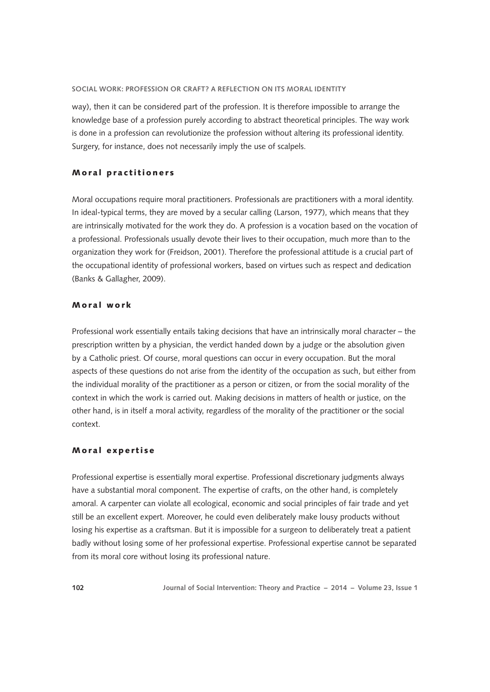way), then it can be considered part of the profession. It is therefore impossible to arrange the knowledge base of a profession purely according to abstract theoretical principles. The way work is done in a profession can revolutionize the profession without altering its professional identity. Surgery, for instance, does not necessarily imply the use of scalpels.

## Moral practitioners

Moral occupations require moral practitioners. Professionals are practitioners with a moral identity. In ideal-typical terms, they are moved by a secular calling (Larson, 1977), which means that they are intrinsically motivated for the work they do. A profession is a vocation based on the vocation of a professional. Professionals usually devote their lives to their occupation, much more than to the organization they work for (Freidson, 2001). Therefore the professional attitude is a crucial part of the occupational identity of professional workers, based on virtues such as respect and dedication (Banks & Gallagher, 2009).

## Moral work

Professional work essentially entails taking decisions that have an intrinsically moral character – the prescription written by a physician, the verdict handed down by a judge or the absolution given by a Catholic priest. Of course, moral questions can occur in every occupation. But the moral aspects of these questions do not arise from the identity of the occupation as such, but either from the individual morality of the practitioner as a person or citizen, or from the social morality of the context in which the work is carried out. Making decisions in matters of health or justice, on the other hand, is in itself a moral activity, regardless of the morality of the practitioner or the social context.

#### Moral expertise

Professional expertise is essentially moral expertise. Professional discretionary judgments always have a substantial moral component. The expertise of crafts, on the other hand, is completely amoral. A carpenter can violate all ecological, economic and social principles of fair trade and yet still be an excellent expert. Moreover, he could even deliberately make lousy products without losing his expertise as a craftsman. But it is impossible for a surgeon to deliberately treat a patient badly without losing some of her professional expertise. Professional expertise cannot be separated from its moral core without losing its professional nature.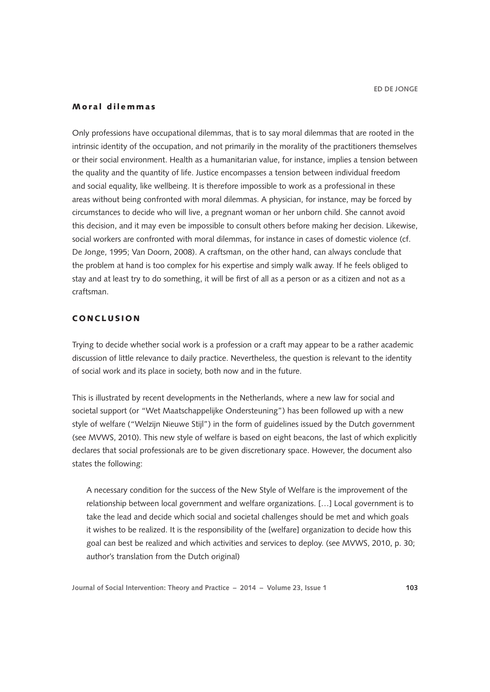# Moral dilemmas

Only professions have occupational dilemmas, that is to say moral dilemmas that are rooted in the intrinsic identity of the occupation, and not primarily in the morality of the practitioners themselves or their social environment. Health as a humanitarian value, for instance, implies a tension between the quality and the quantity of life. Justice encompasses a tension between individual freedom and social equality, like wellbeing. It is therefore impossible to work as a professional in these areas without being confronted with moral dilemmas. A physician, for instance, may be forced by circumstances to decide who will live, a pregnant woman or her unborn child. She cannot avoid this decision, and it may even be impossible to consult others before making her decision. Likewise, social workers are confronted with moral dilemmas, for instance in cases of domestic violence (cf. De Jonge, 1995; Van Doorn, 2008). A craftsman, on the other hand, can always conclude that the problem at hand is too complex for his expertise and simply walk away. If he feels obliged to stay and at least try to do something, it will be first of all as a person or as a citizen and not as a craftsman.

# **CONCLUSION**

Trying to decide whether social work is a profession or a craft may appear to be a rather academic discussion of little relevance to daily practice. Nevertheless, the question is relevant to the identity of social work and its place in society, both now and in the future.

This is illustrated by recent developments in the Netherlands, where a new law for social and societal support (or "Wet Maatschappelijke Ondersteuning") has been followed up with a new style of welfare ("Welzijn Nieuwe Stijl") in the form of guidelines issued by the Dutch government (see MVWS, 2010). This new style of welfare is based on eight beacons, the last of which explicitly declares that social professionals are to be given discretionary space. However, the document also states the following:

A necessary condition for the success of the New Style of Welfare is the improvement of the relationship between local government and welfare organizations. […] Local government is to take the lead and decide which social and societal challenges should be met and which goals it wishes to be realized. It is the responsibility of the [welfare] organization to decide how this goal can best be realized and which activities and services to deploy. (see MVWS, 2010, p. 30; author's translation from the Dutch original)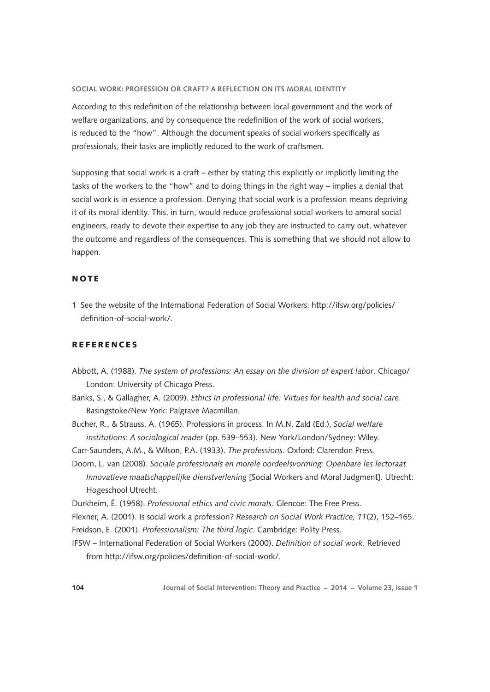According to this redefinition of the relationship between local government and the work of welfare organizations, and by consequence the redefinition of the work of social workers, is reduced to the "how". Although the document speaks of social workers specifically as professionals, their tasks are implicitly reduced to the work of craftsmen.

Supposing that social work is a craft – either by stating this explicitly or implicitly limiting the tasks of the workers to the "how" and to doing things in the right way – implies a denial that social work is in essence a profession. Denying that social work is a profession means depriving it of its moral identity. This, in turn, would reduce professional social workers to amoral social engineers, ready to devote their expertise to any job they are instructed to carry out, whatever the outcome and regardless of the consequences. This is something that we should not allow to happen.

# NOTE

1 See the website of the International Federation of Social Workers: [http://ifsw.org/policies/](http://ifsw.org/policies/definition-of-social-work/) [definition-of-social-work/.](http://ifsw.org/policies/definition-of-social-work/)

# REFERENCES

- Abbott, A. (1988). *The system of professions: An essay on the division of expert labor*. Chicago/ London: University of Chicago Press.
- Banks, S., & Gallagher, A. (2009). *Ethics in professional life: Virtues for health and social care*. Basingstoke/New York: Palgrave Macmillan.

Bucher, R., & Strauss, A. (1965). Professions in process. In M.N. Zald (Ed.), *Social welfare institutions: A sociological reader* (pp. 539–553). New York/London/Sydney: Wiley.

Carr-Saunders, A.M., & Wilson, P.A. (1933). *The professions*. Oxford: Clarendon Press.

Doorn, L. van (2008). *Sociale professionals en morele oordeelsvorming: Openbare les lectoraat Innovatieve maatschappelijke dienstverlening* [Social Workers and Moral Judgment]. Utrecht: Hogeschool Utrecht.

Durkheim, É. (1958). *Professional ethics and civic morals*. Glencoe: The Free Press.

Flexner, A. (2001). Is social work a profession? *Research on Social Work Practice, 11*(2), 152–165.

Freidson, E. (2001). *Professionalism: The third logic*. Cambridge: Polity Press.

IFSW – International Federation of Social Workers (2000). *Definition of social work*. Retrieved from<http://ifsw.org/policies/definition-of-social-work/>.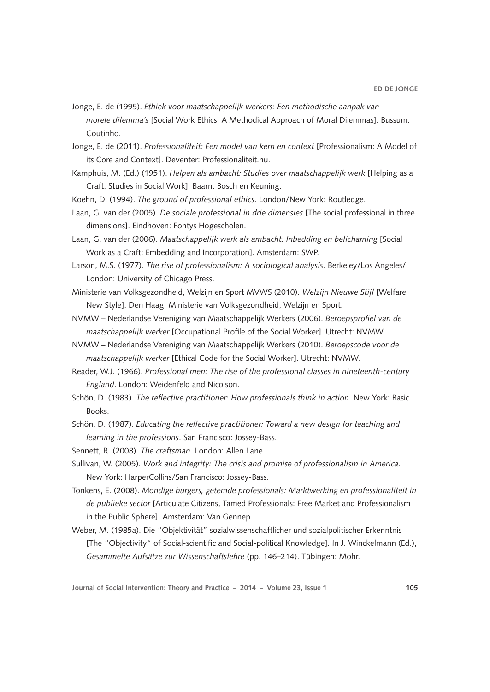- Jonge, E. de (1995). *Ethiek voor maatschappelijk werkers: Een methodische aanpak van morele dilemma's* [Social Work Ethics: A Methodical Approach of Moral Dilemmas]. Bussum: Coutinho.
- Jonge, E. de (2011). *Professionaliteit: Een model van kern en context* [Professionalism: A Model of its Core and Context]. Deventer: Professionaliteit.nu.
- Kamphuis, M. (Ed.) (1951). *Helpen als ambacht: Studies over maatschappelijk werk* [Helping as a Craft: Studies in Social Work]. Baarn: Bosch en Keuning.
- Koehn, D. (1994). *The ground of professional ethics*. London/New York: Routledge.
- Laan, G. van der (2005). *De sociale professional in drie dimensies* [The social professional in three dimensions]. Eindhoven: Fontys Hogescholen.
- Laan, G. van der (2006). *Maatschappelijk werk als ambacht: Inbedding en belichaming* [Social Work as a Craft: Embedding and Incorporation]. Amsterdam: SWP.
- Larson, M.S. (1977). *The rise of professionalism: A sociological analysis*. Berkeley/Los Angeles/ London: University of Chicago Press.
- Ministerie van Volksgezondheid, Welzijn en Sport MVWS (2010). *Welzijn Nieuwe Stijl* [Welfare New Style]. Den Haag: Ministerie van Volksgezondheid, Welzijn en Sport.
- NVMW Nederlandse Vereniging van Maatschappelijk Werkers (2006). *Beroepsprofiel van de maatschappelijk werker* [Occupational Profile of the Social Worker]. Utrecht: NVMW.
- NVMW Nederlandse Vereniging van Maatschappelijk Werkers (2010). *Beroepscode voor de maatschappelijk werker* [Ethical Code for the Social Worker]. Utrecht: NVMW.
- Reader, W.J. (1966). *Professional men: The rise of the professional classes in nineteenth-century England*. London: Weidenfeld and Nicolson.
- Schön, D. (1983). *The reflective practitioner: How professionals think in action*. New York: Basic Books.
- Schön, D. (1987). *Educating the reflective practitioner: Toward a new design for teaching and learning in the professions*. San Francisco: Jossey-Bass.
- Sennett, R. (2008). *The craftsman*. London: Allen Lane.
- Sullivan, W. (2005). *Work and integrity: The crisis and promise of professionalism in America*. New York: HarperCollins/San Francisco: Jossey-Bass.
- Tonkens, E. (2008). *Mondige burgers, getemde professionals: Marktwerking en professionaliteit in de publieke sector* [Articulate Citizens, Tamed Professionals: Free Market and Professionalism in the Public Sphere]. Amsterdam: Van Gennep.
- Weber, M. (1985a). Die "Objektivität" sozialwissenschaftlicher und sozialpolitischer Erkenntnis [The "Objectivity" of Social-scientific and Social-political Knowledge]. In J. Winckelmann (Ed.), *Gesammelte Aufsätze zur Wissenschaftslehre* (pp. 146–214). Tübingen: Mohr.